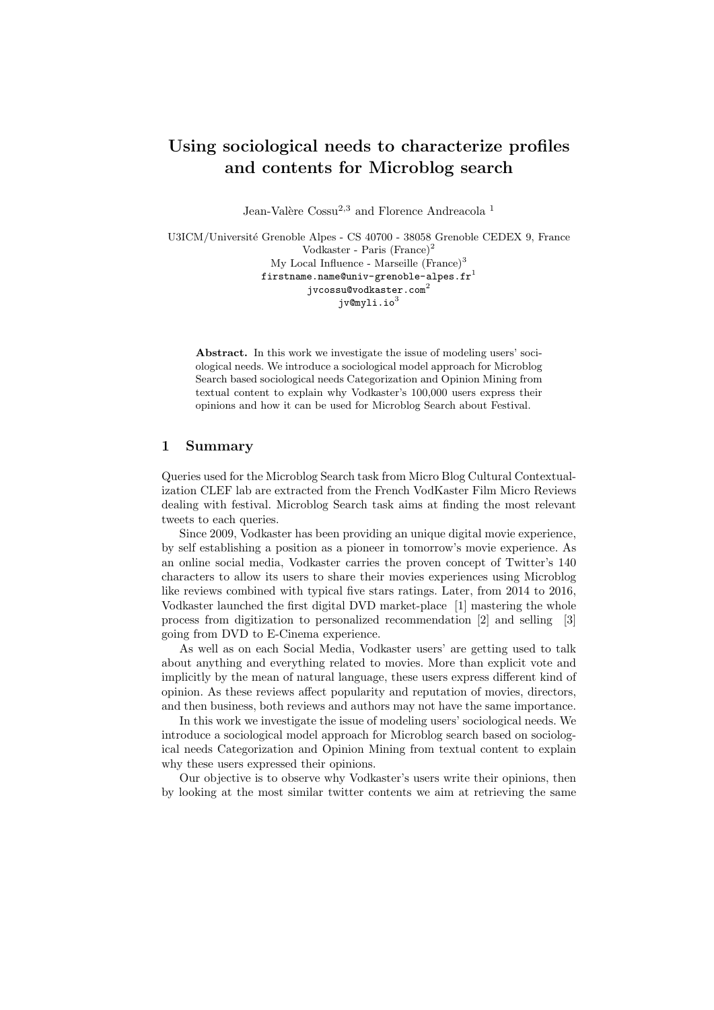# Using sociological needs to characterize profiles and contents for Microblog search

Jean-Valère Cossu<sup>2,3</sup> and Florence Andreacola<sup>1</sup>

U3ICM/Université Grenoble Alpes - CS 40700 - 38058 Grenoble CEDEX 9, France Vodkaster - Paris (France)<sup>2</sup> My Local Influence - Marseille  $(France)^3$ firstname.name@univ-grenoble-alpes.fr $^1$  $j$ vcossu@vodkaster.com $^{2}$  $iv@mv1i.io<sup>3</sup>$ 

Abstract. In this work we investigate the issue of modeling users' sociological needs. We introduce a sociological model approach for Microblog Search based sociological needs Categorization and Opinion Mining from textual content to explain why Vodkaster's 100,000 users express their opinions and how it can be used for Microblog Search about Festival.

### 1 Summary

Queries used for the Microblog Search task from Micro Blog Cultural Contextualization CLEF lab are extracted from the French VodKaster Film Micro Reviews dealing with festival. Microblog Search task aims at finding the most relevant tweets to each queries.

Since 2009, Vodkaster has been providing an unique digital movie experience, by self establishing a position as a pioneer in tomorrow's movie experience. As an online social media, Vodkaster carries the proven concept of Twitter's 140 characters to allow its users to share their movies experiences using Microblog like reviews combined with typical five stars ratings. Later, from 2014 to 2016, Vodkaster launched the first digital DVD market-place [1] mastering the whole process from digitization to personalized recommendation [2] and selling [3] going from DVD to E-Cinema experience.

As well as on each Social Media, Vodkaster users' are getting used to talk about anything and everything related to movies. More than explicit vote and implicitly by the mean of natural language, these users express different kind of opinion. As these reviews affect popularity and reputation of movies, directors, and then business, both reviews and authors may not have the same importance.

In this work we investigate the issue of modeling users' sociological needs. We introduce a sociological model approach for Microblog search based on sociological needs Categorization and Opinion Mining from textual content to explain why these users expressed their opinions.

Our objective is to observe why Vodkaster's users write their opinions, then by looking at the most similar twitter contents we aim at retrieving the same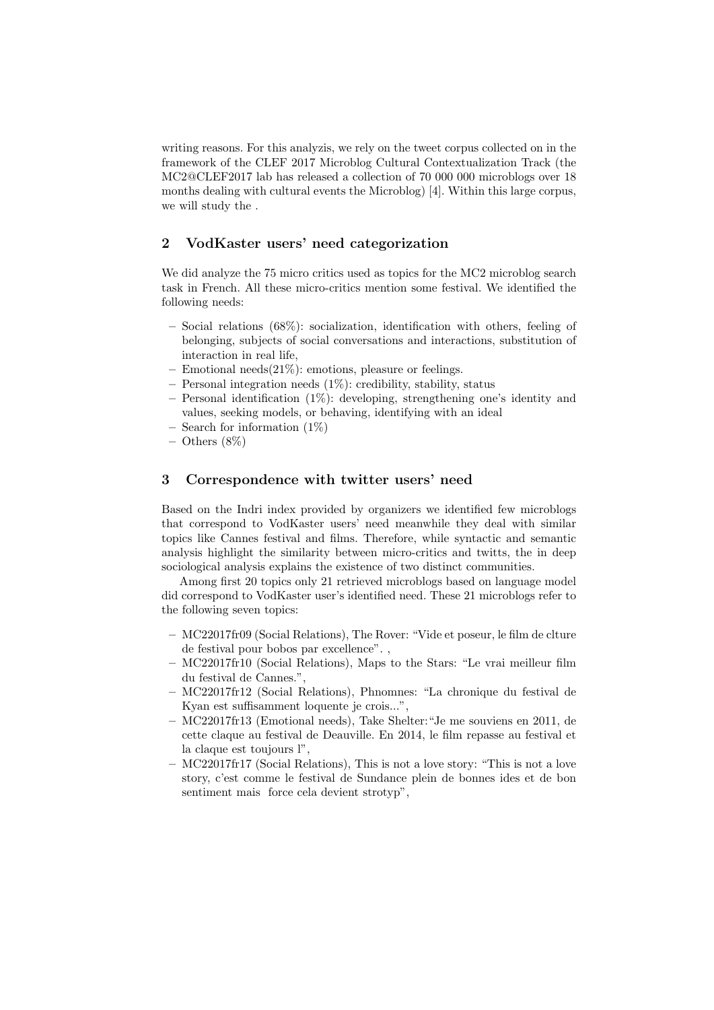writing reasons. For this analyzis, we rely on the tweet corpus collected on in the framework of the CLEF 2017 Microblog Cultural Contextualization Track (the MC2@CLEF2017 lab has released a collection of 70 000 000 microblogs over 18 months dealing with cultural events the Microblog) [4]. Within this large corpus, we will study the .

## 2 VodKaster users' need categorization

We did analyze the 75 micro critics used as topics for the MC2 microblog search task in French. All these micro-critics mention some festival. We identified the following needs:

- Social relations (68%): socialization, identification with others, feeling of belonging, subjects of social conversations and interactions, substitution of interaction in real life,
- Emotional needs $(21\%)$ : emotions, pleasure or feelings.
- Personal integration needs (1%): credibility, stability, status
- Personal identification  $(1\%)$ : developing, strengthening one's identity and values, seeking models, or behaving, identifying with an ideal
- $-$  Search for information  $(1\%)$
- $-$  Others  $(8\%)$

### 3 Correspondence with twitter users' need

Based on the Indri index provided by organizers we identified few microblogs that correspond to VodKaster users' need meanwhile they deal with similar topics like Cannes festival and films. Therefore, while syntactic and semantic analysis highlight the similarity between micro-critics and twitts, the in deep sociological analysis explains the existence of two distinct communities.

Among first 20 topics only 21 retrieved microblogs based on language model did correspond to VodKaster user's identified need. These 21 microblogs refer to the following seven topics:

- MC22017fr09 (Social Relations), The Rover: "Vide et poseur, le film de clture de festival pour bobos par excellence". ,
- MC22017fr10 (Social Relations), Maps to the Stars: "Le vrai meilleur film du festival de Cannes.",
- MC22017fr12 (Social Relations), Phnomnes: "La chronique du festival de Kyan est suffisamment loquente je crois...",
- MC22017fr13 (Emotional needs), Take Shelter:"Je me souviens en 2011, de cette claque au festival de Deauville. En 2014, le film repasse au festival et la claque est toujours l",
- MC22017fr17 (Social Relations), This is not a love story: "This is not a love story, c'est comme le festival de Sundance plein de bonnes ides et de bon sentiment mais force cela devient strotyp",